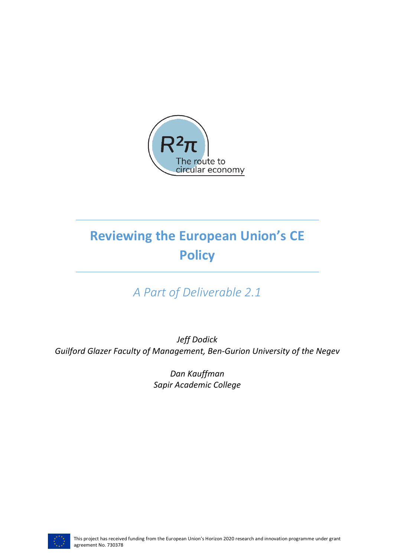

# **Reviewing the European Union's CE Policy**

## *A Part of Deliverable 2.1*

*Jeff Dodick* Guilford Glazer Faculty of Management, Ben-Gurion University of the Negev

> *Dan Kauffman Sapir Academic College*

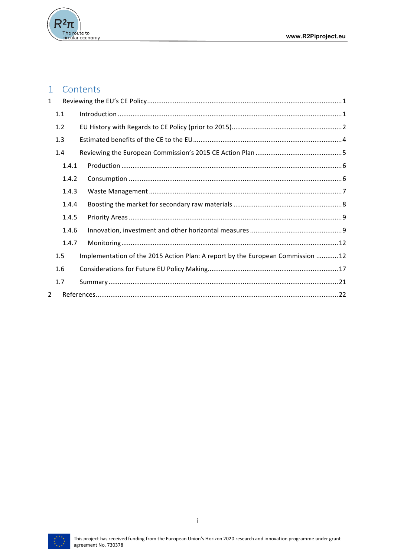

#### $\mathbf{1}$ Contents

| $\mathbf{1}$   |       |                                                                                |  |
|----------------|-------|--------------------------------------------------------------------------------|--|
|                | 1.1   |                                                                                |  |
|                | 1.2   |                                                                                |  |
|                | 1.3   |                                                                                |  |
|                | 1.4   |                                                                                |  |
|                | 1.4.1 |                                                                                |  |
|                | 1.4.2 |                                                                                |  |
|                | 1.4.3 |                                                                                |  |
|                | 1.4.4 |                                                                                |  |
|                | 1.4.5 |                                                                                |  |
|                | 1.4.6 |                                                                                |  |
|                | 1.4.7 |                                                                                |  |
|                | 1.5   | Implementation of the 2015 Action Plan: A report by the European Commission 12 |  |
|                | 1.6   |                                                                                |  |
|                | 1.7   |                                                                                |  |
| $\mathfrak{D}$ |       |                                                                                |  |

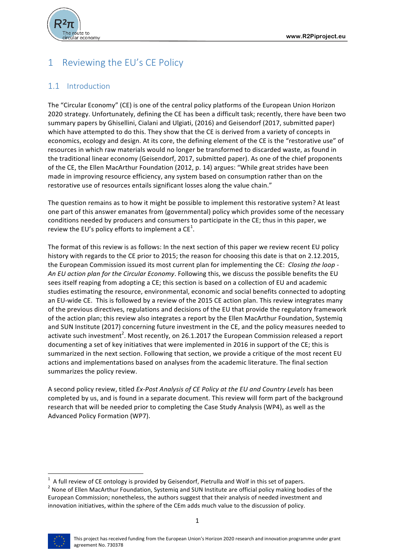

## 1 Reviewing the EU's CE Policy

## 1.1 Introduction

The "Circular Economy" (CE) is one of the central policy platforms of the European Union Horizon 2020 strategy. Unfortunately, defining the CE has been a difficult task; recently, there have been two summary papers by Ghisellini, Cialani and Ulgiati, (2016) and Geisendorf (2017, submitted paper) which have attempted to do this. They show that the CE is derived from a variety of concepts in economics, ecology and design. At its core, the defining element of the CE is the "restorative use" of resources in which raw materials would no longer be transformed to discarded waste, as found in the traditional linear economy (Geisendorf, 2017, submitted paper). As one of the chief proponents of the CE, the Ellen MacArthur Foundation (2012, p. 14) argues: "While great strides have been made in improving resource efficiency, any system based on consumption rather than on the restorative use of resources entails significant losses along the value chain."

The question remains as to how it might be possible to implement this restorative system? At least one part of this answer emanates from (governmental) policy which provides some of the necessary conditions needed by producers and consumers to participate in the CE; thus in this paper, we review the EU's policy efforts to implement a CE $^1$ .

The format of this review is as follows: In the next section of this paper we review recent EU policy history with regards to the CE prior to 2015; the reason for choosing this date is that on 2.12.2015, the European Commission issued its most current plan for implementing the CE: *Closing the loop -*An EU action plan for the Circular Economy. Following this, we discuss the possible benefits the EU sees itself reaping from adopting a CE; this section is based on a collection of EU and academic studies estimating the resource, environmental, economic and social benefits connected to adopting an EU-wide CE. This is followed by a review of the 2015 CE action plan. This review integrates many of the previous directives, regulations and decisions of the EU that provide the regulatory framework of the action plan; this review also integrates a report by the Ellen MacArthur Foundation, Systemiq and SUN Institute (2017) concerning future investment in the CE, and the policy measures needed to activate such investment<sup>2</sup>. Most recently, on 26.1.2017 the European Commission released a report documenting a set of key initiatives that were implemented in 2016 in support of the CE; this is summarized in the next section. Following that section, we provide a critique of the most recent EU actions and implementations based on analyses from the academic literature. The final section summarizes the policy review.

A second policy review, titled *Ex-Post Analysis of CE Policy at the EU and Country Levels* has been completed by us, and is found in a separate document. This review will form part of the background research that will be needed prior to completing the Case Study Analysis (WP4), as well as the Advanced Policy Formation (WP7).

<sup>&</sup>lt;sup>2</sup> None of Ellen MacArthur Foundation, Systemiq and SUN Institute are official policy making bodies of the European Commission; nonetheless, the authors suggest that their analysis of needed investment and innovation initiatives, within the sphere of the CEm adds much value to the discussion of policy.



A full review of CE ontology is provided by Geisendorf, Pietrulla and Wolf in this set of papers.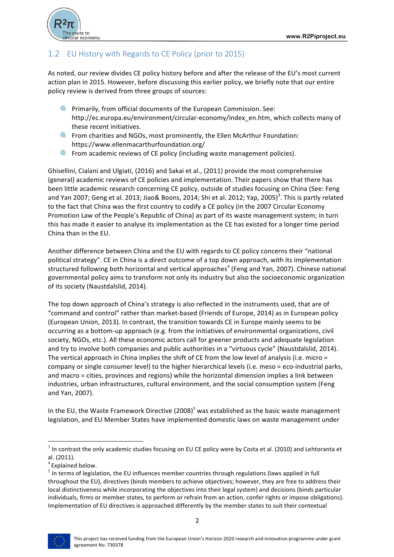

## 1.2 EU History with Regards to CE Policy (prior to 2015)

As noted, our review divides CE policy history before and after the release of the EU's most current action plan in 2015. However, before discussing this earlier policy, we briefly note that our entire policy review is derived from three groups of sources:

- $\bullet$ Primarily, from official documents of the European Commission. See: http://ec.europa.eu/environment/circular-economy/index en.htm, which collects many of these recent initiatives.
- **C** From charities and NGOs, most prominently, the Ellen McArthur Foundation: https://www.ellenmacarthurfoundation.org/
- $\bullet$ From academic reviews of CE policy (including waste management policies).

Ghisellini, Cialani and Ulgiati, (2016) and Sakai et al., (2011) provide the most comprehensive (general) academic reviews of CE policies and implementation. Their papers show that there has been little academic research concerning CE policy, outside of studies focusing on China (See: Feng and Yan 2007; Geng et al. 2013; Jiao& Boons, 2014; Shi et al. 2012; Yap, 2005)<sup>3</sup>. This is partly related to the fact that China was the first country to codify a CE policy (in the 2007 Circular Economy Promotion Law of the People's Republic of China) as part of its waste management system; in turn this has made it easier to analyse its implementation as the CE has existed for a longer time period China than in the EU.

Another difference between China and the EU with regards to CE policy concerns their "national political strategy". CE in China is a direct outcome of a top down approach, with its implementation structured following both horizontal and vertical approaches<sup>4</sup> (Feng and Yan, 2007). Chinese national governmental policy aims to transform not only its industry but also the socioeconomic organization of its society (Naustdalslid, 2014).

The top down approach of China's strategy is also reflected in the instruments used, that are of "command and control" rather than market-based (Friends of Europe, 2014) as in European policy (European Union, 2013). In contrast, the transition towards CE in Europe mainly seems to be occurring as a bottom-up approach (e.g. from the initiatives of environmental organizations, civil society, NGOs, etc.). All these economic actors call for greener products and adequate legislation and try to involve both companies and public authorities in a "virtuous cycle" (Naustdalslid, 2014). The vertical approach in China implies the shift of CE from the low level of analysis (i.e. micro = company or single consumer level) to the higher hierarchical levels (i.e. meso = eco-industrial parks, and macro = cities, provinces and regions) while the horizontal dimension implies a link between industries, urban infrastructures, cultural environment, and the social consumption system (Feng and Yan, 2007).

In the EU, the Waste Framework Directive  $(2008)^5$  was established as the basic waste management legislation, and EU Member States have implemented domestic laws on waste management under

 $<sup>5</sup>$  In terms of legislation, the EU influences member countries through regulations (laws applied in full</sup> throughout the EU), directives (binds members to achieve objectives; however, they are free to address their local distinctiveness while incorporating the objectives into their legal system) and decisions (binds particular individuals, firms or member states, to perform or refrain from an action, confer rights or impose obligations). Implementation of EU directives is approached differently by the member states to suit their contextual



 $3$  In contrast the only academic studies focusing on EU CE policy were by Costa et al. (2010) and Lehtoranta et al. (2011).

 $4$  Explained below.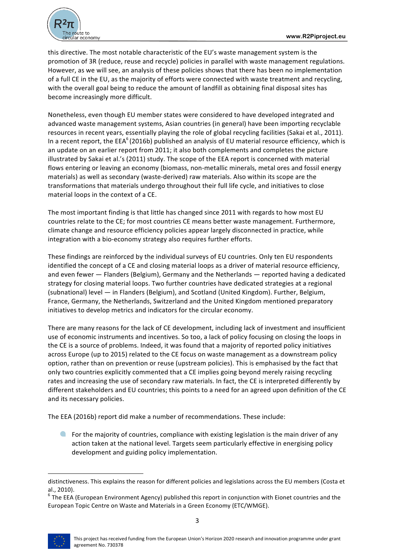

this directive. The most notable characteristic of the EU's waste management system is the promotion of 3R (reduce, reuse and recycle) policies in parallel with waste management regulations. However, as we will see, an analysis of these policies shows that there has been no implementation of a full CE in the EU, as the majority of efforts were connected with waste treatment and recycling, with the overall goal being to reduce the amount of landfill as obtaining final disposal sites has become increasingly more difficult.

Nonetheless, even though EU member states were considered to have developed integrated and advanced waste management systems, Asian countries (in general) have been importing recyclable resources in recent years, essentially playing the role of global recycling facilities (Sakai et al., 2011). In a recent report, the EEA<sup>6</sup> (2016b) published an analysis of EU material resource efficiency, which is an update on an earlier report from 2011; it also both complements and completes the picture illustrated by Sakai et al.'s (2011) study. The scope of the EEA report is concerned with material flows entering or leaving an economy (biomass, non-metallic minerals, metal ores and fossil energy materials) as well as secondary (waste-derived) raw materials. Also within its scope are the transformations that materials undergo throughout their full life cycle, and initiatives to close material loops in the context of a CE.

The most important finding is that little has changed since 2011 with regards to how most EU countries relate to the CE; for most countries CE means better waste management. Furthermore, climate change and resource efficiency policies appear largely disconnected in practice, while integration with a bio-economy strategy also requires further efforts.

These findings are reinforced by the individual surveys of EU countries. Only ten EU respondents identified the concept of a CE and closing material loops as a driver of material resource efficiency, and even fewer  $-$  Flanders (Belgium), Germany and the Netherlands  $-$  reported having a dedicated strategy for closing material loops. Two further countries have dedicated strategies at a regional (subnational) level — in Flanders (Belgium), and Scotland (United Kingdom). Further, Belgium, France, Germany, the Netherlands, Switzerland and the United Kingdom mentioned preparatory initiatives to develop metrics and indicators for the circular economy.

There are many reasons for the lack of CE development, including lack of investment and insufficient use of economic instruments and incentives. So too, a lack of policy focusing on closing the loops in the CE is a source of problems. Indeed, it was found that a majority of reported policy initiatives across Europe (up to 2015) related to the CE focus on waste management as a downstream policy option, rather than on prevention or reuse (upstream policies). This is emphasised by the fact that only two countries explicitly commented that a CE implies going beyond merely raising recycling rates and increasing the use of secondary raw materials. In fact, the CE is interpreted differently by different stakeholders and EU countries; this points to a need for an agreed upon definition of the CE and its necessary policies.

The EEA (2016b) report did make a number of recommendations. These include:

**Q** For the majority of countries, compliance with existing legislation is the main driver of any action taken at the national level. Targets seem particularly effective in energising policy development and guiding policy implementation.

distinctiveness. This explains the reason for different policies and legislations across the EU members (Costa et

al., 2010).<br><sup>6</sup> The EEA (European Environment Agency) published this report in conjunction with Eionet countries and the European Topic Centre on Waste and Materials in a Green Economy (ETC/WMGE).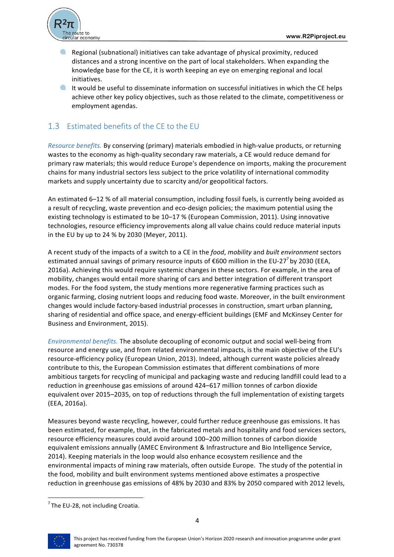

- $\bullet$ Regional (subnational) initiatives can take advantage of physical proximity, reduced distances and a strong incentive on the part of local stakeholders. When expanding the knowledge base for the CE, it is worth keeping an eve on emerging regional and local initiatives.
- $\blacksquare$  It would be useful to disseminate information on successful initiatives in which the CE helps achieve other key policy objectives, such as those related to the climate, competitiveness or employment agendas.

## 1.3 Estimated benefits of the CE to the EU

*Resource benefits.* By conserving (primary) materials embodied in high-value products, or returning wastes to the economy as high-quality secondary raw materials, a CE would reduce demand for primary raw materials; this would reduce Europe's dependence on imports, making the procurement chains for many industrial sectors less subject to the price volatility of international commodity markets and supply uncertainty due to scarcity and/or geopolitical factors.

An estimated 6-12 % of all material consumption, including fossil fuels, is currently being avoided as a result of recycling, waste prevention and eco-design policies; the maximum potential using the existing technology is estimated to be  $10-17\%$  (European Commission, 2011). Using innovative technologies, resource efficiency improvements along all value chains could reduce material inputs in the EU by up to 24 % by 2030 (Meyer, 2011).

A recent study of the impacts of a switch to a CE in the *food*, *mobility* and *built environment* sectors estimated annual savings of primary resource inputs of €600 million in the EU-27<sup>7</sup> by 2030 (EEA, 2016a). Achieving this would require systemic changes in these sectors. For example, in the area of mobility, changes would entail more sharing of cars and better integration of different transport modes. For the food system, the study mentions more regenerative farming practices such as organic farming, closing nutrient loops and reducing food waste. Moreover, in the built environment changes would include factory-based industrial processes in construction, smart urban planning, sharing of residential and office space, and energy-efficient buildings (EMF and McKinsey Center for Business and Environment, 2015).

*Environmental benefits.* The absolute decoupling of economic output and social well-being from resource and energy use, and from related environmental impacts, is the main objective of the EU's resource-efficiency policy (European Union, 2013). Indeed, although current waste policies already contribute to this, the European Commission estimates that different combinations of more ambitious targets for recycling of municipal and packaging waste and reducing landfill could lead to a reduction in greenhouse gas emissions of around 424–617 million tonnes of carbon dioxide equivalent over 2015–2035, on top of reductions through the full implementation of existing targets (EEA, 2016a).

Measures beyond waste recycling, however, could further reduce greenhouse gas emissions. It has been estimated, for example, that, in the fabricated metals and hospitality and food services sectors, resource efficiency measures could avoid around 100–200 million tonnes of carbon dioxide equivalent emissions annually (AMEC Environment & Infrastructure and Bio Intelligence Service, 2014). Keeping materials in the loop would also enhance ecosystem resilience and the environmental impacts of mining raw materials, often outside Europe. The study of the potential in the food, mobility and built environment systems mentioned above estimates a prospective reduction in greenhouse gas emissions of 48% by 2030 and 83% by 2050 compared with 2012 levels,



<sup>&</sup>lt;u> 1989 - Johann Barn, mars ann an t-Amhain an t-Amhain an t-Amhain an t-Amhain an t-Amhain an t-Amhain an t-Amh</u>  $7$  The EU-28, not including Croatia.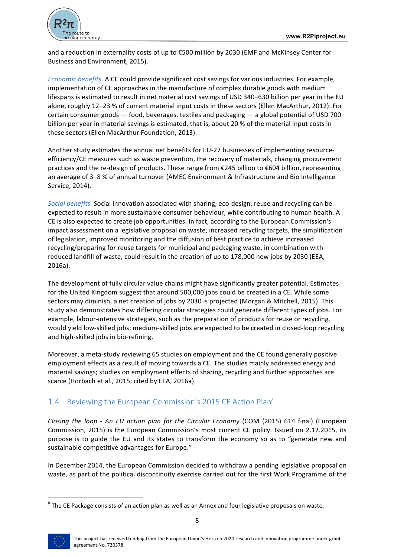

and a reduction in externality costs of up to €500 million by 2030 (EMF and McKinsey Center for Business and Environment, 2015).

*Economic benefits.* A CE could provide significant cost savings for various industries. For example, implementation of CE approaches in the manufacture of complex durable goods with medium lifespans is estimated to result in net material cost savings of USD 340-630 billion per year in the EU alone, roughly 12-23 % of current material input costs in these sectors (Ellen MacArthur, 2012). For certain consumer goods  $-$  food, beverages, textiles and packaging  $-$  a global potential of USD 700 billion per year in material savings is estimated, that is, about 20 % of the material input costs in these sectors (Ellen MacArthur Foundation, 2013).

Another study estimates the annual net benefits for EU-27 businesses of implementing resourceefficiency/CE measures such as waste prevention, the recovery of materials, changing procurement practices and the re-design of products. These range from  $\epsilon$ 245 billion to  $\epsilon$ 604 billion, representing an average of 3-8 % of annual turnover (AMEC Environment & Infrastructure and Bio Intelligence Service, 2014).

*Social benefits.* Social innovation associated with sharing, eco-design, reuse and recycling can be expected to result in more sustainable consumer behaviour, while contributing to human health. A CE is also expected to create job opportunities. In fact, according to the European Commission's impact assessment on a legislative proposal on waste, increased recycling targets, the simplification of legislation, improved monitoring and the diffusion of best practice to achieve increased recycling/preparing for reuse targets for municipal and packaging waste, in combination with reduced landfill of waste, could result in the creation of up to 178,000 new jobs by 2030 (EEA, 2016a). 

The development of fully circular value chains might have significantly greater potential. Estimates for the United Kingdom suggest that around 500,000 jobs could be created in a CE. While some sectors may diminish, a net creation of jobs by 2030 is projected (Morgan & Mitchell, 2015). This study also demonstrates how differing circular strategies could generate different types of jobs. For example, labour-intensive strategies, such as the preparation of products for reuse or recycling, would yield low-skilled jobs; medium-skilled jobs are expected to be created in closed-loop recycling and high-skilled jobs in bio-refining.

Moreover, a meta-study reviewing 65 studies on employment and the CE found generally positive employment effects as a result of moving towards a CE. The studies mainly addressed energy and material savings; studies on employment effects of sharing, recycling and further approaches are scarce (Horbach et al., 2015; cited by EEA, 2016a).

### 1.4 Reviewing the European Commission's 2015 CE Action Plan<sup>8</sup>

*Closing the loop - An EU action plan for the Circular Economy* (COM (2015) 614 final) (European Commission, 2015) is the European Commission's most current CE policy. Issued on 2.12.2015, its purpose is to guide the EU and its states to transform the economy so as to "generate new and sustainable competitive advantages for Europe."

In December 2014, the European Commission decided to withdraw a pending legislative proposal on waste, as part of the political discontinuity exercise carried out for the first Work Programme of the

 $8$  The CE Package consists of an action plan as well as an Annex and four legislative proposals on waste.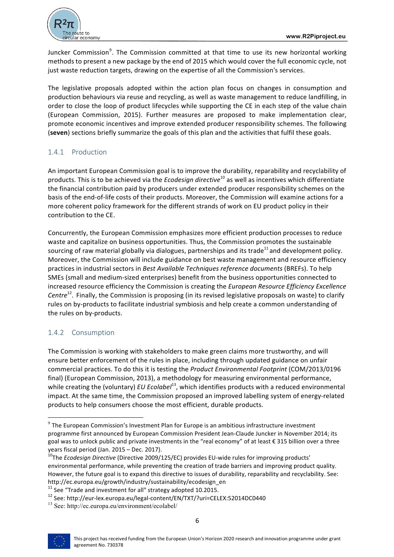

Juncker Commission<sup>9</sup>. The Commission committed at that time to use its new horizontal working methods to present a new package by the end of 2015 which would cover the full economic cycle, not just waste reduction targets, drawing on the expertise of all the Commission's services.

The legislative proposals adopted within the action plan focus on changes in consumption and production behaviours via reuse and recycling, as well as waste management to reduce landfilling, in order to close the loop of product lifecycles while supporting the CE in each step of the value chain (European Commission, 2015). Further measures are proposed to make implementation clear, promote economic incentives and improve extended producer responsibility schemes. The following (seven) sections briefly summarize the goals of this plan and the activities that fulfil these goals.

## 1.4.1 Production

An important European Commission goal is to improve the durability, reparability and recyclability of products. This is to be achieved via the *Ecodesign directive*<sup>10</sup> as well as incentives which differentiate the financial contribution paid by producers under extended producer responsibility schemes on the basis of the end-of-life costs of their products. Moreover, the Commission will examine actions for a more coherent policy framework for the different strands of work on EU product policy in their contribution to the CE.

Concurrently, the European Commission emphasizes more efficient production processes to reduce waste and capitalize on business opportunities. Thus, the Commission promotes the sustainable sourcing of raw material globally via dialogues, partnerships and its trade<sup>11</sup> and development policy. Moreover, the Commission will include guidance on best waste management and resource efficiency practices in industrial sectors in *Best Available Techniques reference documents* (BREFs). To help SMEs (small and medium-sized enterprises) benefit from the business opportunities connected to increased resource efficiency the Commission is creating the *European Resource Efficiency Excellence Centre*<sup>12</sup>. Finally, the Commission is proposing (in its revised legislative proposals on waste) to clarify rules on by-products to facilitate industrial symbiosis and help create a common understanding of the rules on by-products.

## 1.4.2 Consumption

<u> 1989 - Johann Barn, mars ann an t-Amhain an t-Amhain an t-Amhain an t-Amhain an t-Amhain an t-Amhain an t-Amh</u>

The Commission is working with stakeholders to make green claims more trustworthy, and will ensure better enforcement of the rules in place, including through updated guidance on unfair commercial practices. To do this it is testing the *Product Environmental Footprint* (COM/2013/0196) final) (European Commission, 2013), a methodology for measuring environmental performance, while creating the (voluntary) *EU Ecolabel*<sup>13</sup>, which identifies products with a reduced environmental impact. At the same time, the Commission proposed an improved labelling system of energy-related products to help consumers choose the most efficient, durable products.



 $9$  The European Commission's Investment Plan for Europe is an ambitious infrastructure investment programme first announced by European Commission President Jean-Claude Juncker in November 2014; its goal was to unlock public and private investments in the "real economy" of at least € 315 billion over a three years fiscal period (Jan. 2015 – Dec. 2017).<br><sup>10</sup>The *Ecodesign Directive* (Directive 2009/125/EC) provides EU-wide rules for improving products'

environmental performance, while preventing the creation of trade barriers and improving product quality. However, the future goal is to expand this directive to issues of durability, reparability and recyclability. See:

http://ec.europa.eu/growth/industry/sustainability/ecodesign\_en<br><sup>11</sup> See "Trade and investment for all" strategy adopted 10.2015.

<sup>12</sup> See: http://eur-lex.europa.eu/legal-content/EN/TXT/?uri=CELEX:52014DC0440

<sup>13</sup> See: http://ec.europa.eu/environment/ecolabel/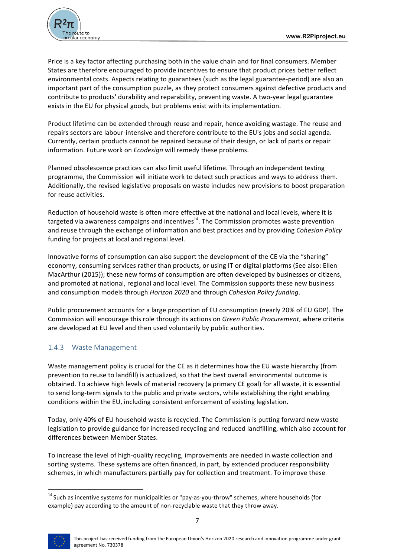

Price is a key factor affecting purchasing both in the value chain and for final consumers. Member States are therefore encouraged to provide incentives to ensure that product prices better reflect environmental costs. Aspects relating to guarantees (such as the legal guarantee-period) are also an important part of the consumption puzzle, as they protect consumers against defective products and contribute to products' durability and reparability, preventing waste. A two-year legal guarantee exists in the EU for physical goods, but problems exist with its implementation.

Product lifetime can be extended through reuse and repair, hence avoiding wastage. The reuse and repairs sectors are labour-intensive and therefore contribute to the EU's jobs and social agenda. Currently, certain products cannot be repaired because of their design, or lack of parts or repair information. Future work on *Ecodesign* will remedy these problems.

Planned obsolescence practices can also limit useful lifetime. Through an independent testing programme, the Commission will initiate work to detect such practices and ways to address them. Additionally, the revised legislative proposals on waste includes new provisions to boost preparation for reuse activities.

Reduction of household waste is often more effective at the national and local levels, where it is targeted via awareness campaigns and incentives<sup>14</sup>. The Commission promotes waste prevention and reuse through the exchange of information and best practices and by providing *Cohesion Policy* funding for projects at local and regional level.

Innovative forms of consumption can also support the development of the CE via the "sharing" economy, consuming services rather than products, or using IT or digital platforms (See also: Ellen MacArthur (2015)); these new forms of consumption are often developed by businesses or citizens, and promoted at national, regional and local level. The Commission supports these new business and consumption models through *Horizon 2020* and through *Cohesion Policy funding*.

Public procurement accounts for a large proportion of EU consumption (nearly 20% of EU GDP). The Commission will encourage this role through its actions on *Green Public Procurement*, where criteria are developed at EU level and then used voluntarily by public authorities.

### 1.4.3 Waste Management

<u> 1989 - Johann Barn, mars ann an t-Amhain an t-Amhain an t-Amhain an t-Amhain an t-Amhain an t-Amhain an t-Amh</u>

Waste management policy is crucial for the CE as it determines how the EU waste hierarchy (from prevention to reuse to landfill) is actualized, so that the best overall environmental outcome is obtained. To achieve high levels of material recovery (a primary CE goal) for all waste, it is essential to send long-term signals to the public and private sectors, while establishing the right enabling conditions within the EU, including consistent enforcement of existing legislation.

Today, only 40% of EU household waste is recycled. The Commission is putting forward new waste legislation to provide guidance for increased recycling and reduced landfilling, which also account for differences between Member States.

To increase the level of high-quality recycling, improvements are needed in waste collection and sorting systems. These systems are often financed, in part, by extended producer responsibility schemes, in which manufacturers partially pay for collection and treatment. To improve these

 $14$  Such as incentive systems for municipalities or "pay-as-you-throw" schemes, where households (for example) pay according to the amount of non-recyclable waste that they throw away.

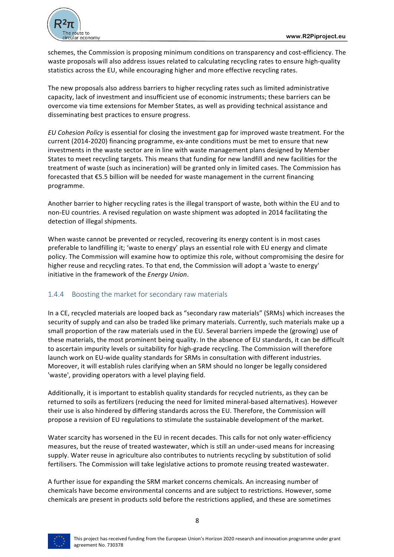

schemes, the Commission is proposing minimum conditions on transparency and cost-efficiency. The waste proposals will also address issues related to calculating recycling rates to ensure high-quality statistics across the EU, while encouraging higher and more effective recycling rates.

The new proposals also address barriers to higher recycling rates such as limited administrative capacity, lack of investment and insufficient use of economic instruments; these barriers can be overcome via time extensions for Member States, as well as providing technical assistance and disseminating best practices to ensure progress.

*EU* Cohesion Policy is essential for closing the investment gap for improved waste treatment. For the current (2014-2020) financing programme, ex-ante conditions must be met to ensure that new investments in the waste sector are in line with waste management plans designed by Member States to meet recycling targets. This means that funding for new landfill and new facilities for the treatment of waste (such as incineration) will be granted only in limited cases. The Commission has forecasted that  $E$ 5.5 billion will be needed for waste management in the current financing programme.

Another barrier to higher recycling rates is the illegal transport of waste, both within the EU and to non-EU countries. A revised regulation on waste shipment was adopted in 2014 facilitating the detection of illegal shipments.

When waste cannot be prevented or recycled, recovering its energy content is in most cases preferable to landfilling it; 'waste to energy' plays an essential role with EU energy and climate policy. The Commission will examine how to optimize this role, without compromising the desire for higher reuse and recycling rates. To that end, the Commission will adopt a 'waste to energy' initiative in the framework of the *Energy Union*.

#### 1.4.4 Boosting the market for secondary raw materials

In a CE, recycled materials are looped back as "secondary raw materials" (SRMs) which increases the security of supply and can also be traded like primary materials. Currently, such materials make up a small proportion of the raw materials used in the EU. Several barriers impede the (growing) use of these materials, the most prominent being quality. In the absence of EU standards, it can be difficult to ascertain impurity levels or suitability for high-grade recycling. The Commission will therefore launch work on EU-wide quality standards for SRMs in consultation with different industries. Moreover, it will establish rules clarifying when an SRM should no longer be legally considered 'waste', providing operators with a level playing field.

Additionally, it is important to establish quality standards for recycled nutrients, as they can be returned to soils as fertilizers (reducing the need for limited mineral-based alternatives). However their use is also hindered by differing standards across the EU. Therefore, the Commission will propose a revision of EU regulations to stimulate the sustainable development of the market.

Water scarcity has worsened in the EU in recent decades. This calls for not only water-efficiency measures, but the reuse of treated wastewater, which is still an under-used means for increasing supply. Water reuse in agriculture also contributes to nutrients recycling by substitution of solid fertilisers. The Commission will take legislative actions to promote reusing treated wastewater.

A further issue for expanding the SRM market concerns chemicals. An increasing number of chemicals have become environmental concerns and are subject to restrictions. However, some chemicals are present in products sold before the restrictions applied, and these are sometimes

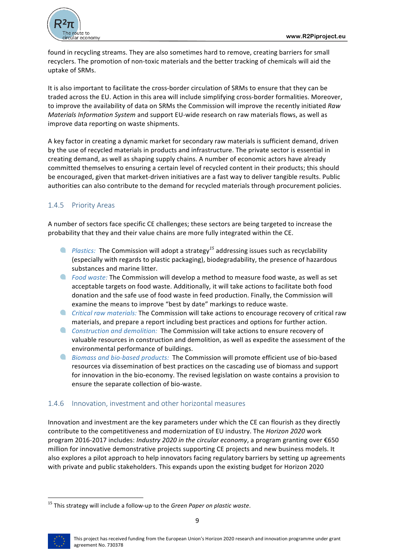

found in recycling streams. They are also sometimes hard to remove, creating barriers for small recyclers. The promotion of non-toxic materials and the better tracking of chemicals will aid the uptake of SRMs.

It is also important to facilitate the cross-border circulation of SRMs to ensure that they can be traded across the EU. Action in this area will include simplifying cross-border formalities. Moreover, to improve the availability of data on SRMs the Commission will improve the recently initiated *Raw Materials Information System* and support EU-wide research on raw materials flows, as well as improve data reporting on waste shipments.

A key factor in creating a dynamic market for secondary raw materials is sufficient demand, driven by the use of recycled materials in products and infrastructure. The private sector is essential in creating demand, as well as shaping supply chains. A number of economic actors have already committed themselves to ensuring a certain level of recycled content in their products; this should be encouraged, given that market-driven initiatives are a fast way to deliver tangible results. Public authorities can also contribute to the demand for recycled materials through procurement policies.

## 1.4.5 Priority Areas

A number of sectors face specific CE challenges; these sectors are being targeted to increase the probability that they and their value chains are more fully integrated within the CE.

- **P** Plastics: The Commission will adopt a strategy<sup>15</sup> addressing issues such as recyclability (especially with regards to plastic packaging), biodegradability, the presence of hazardous substances and marine litter.
- **A** Food waste: The Commission will develop a method to measure food waste, as well as set acceptable targets on food waste. Additionally, it will take actions to facilitate both food donation and the safe use of food waste in feed production. Finally, the Commission will examine the means to improve "best by date" markings to reduce waste.
- **C** Critical raw materials: The Commission will take actions to encourage recovery of critical raw materials, and prepare a report including best practices and options for further action.
- $\bullet$ *Construction and demolition:* The Commission will take actions to ensure recovery of valuable resources in construction and demolition, as well as expedite the assessment of the environmental performance of buildings.
- **A** Biomass and bio-based products: The Commission will promote efficient use of bio-based resources via dissemination of best practices on the cascading use of biomass and support for innovation in the bio-economy. The revised legislation on waste contains a provision to ensure the separate collection of bio-waste.

#### 1.4.6 Innovation, investment and other horizontal measures

Innovation and investment are the key parameters under which the CE can flourish as they directly contribute to the competitiveness and modernization of EU industry. The *Horizon 2020* work program 2016-2017 includes: *Industry 2020 in the circular economy*, a program granting over €650 million for innovative demonstrative projects supporting CE projects and new business models. It also explores a pilot approach to help innovators facing regulatory barriers by setting up agreements with private and public stakeholders. This expands upon the existing budget for Horizon 2020



<sup>&</sup>lt;sup>15</sup> This strategy will include a follow-up to the *Green Paper on plastic waste*.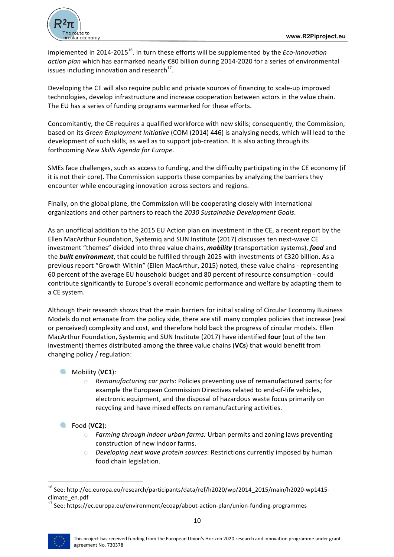

implemented in 2014-2015<sup>16</sup>. In turn these efforts will be supplemented by the *Eco-innovation action plan* which has earmarked nearly €80 billion during 2014-2020 for a series of environmental issues including innovation and research<sup>17</sup>.

Developing the CE will also require public and private sources of financing to scale-up improved technologies, develop infrastructure and increase cooperation between actors in the value chain. The EU has a series of funding programs earmarked for these efforts.

Concomitantly, the CE requires a qualified workforce with new skills; consequently, the Commission, based on its *Green Employment Initiative* (COM (2014) 446) is analysing needs, which will lead to the development of such skills, as well as to support job-creation. It is also acting through its forthcoming *New Skills Agenda for Europe*.

SMEs face challenges, such as access to funding, and the difficulty participating in the CE economy (if it is not their core). The Commission supports these companies by analyzing the barriers they encounter while encouraging innovation across sectors and regions.

Finally, on the global plane, the Commission will be cooperating closely with international organizations and other partners to reach the 2030 Sustainable Development Goals.

As an unofficial addition to the 2015 EU Action plan on investment in the CE, a recent report by the Ellen MacArthur Foundation, Systemig and SUN Institute (2017) discusses ten next-wave CE investment "themes" divided into three value chains, *mobility* (transportation systems), *food* and the **built environment**, that could be fulfilled through 2025 with investments of €320 billion. As a previous report "Growth Within" (Ellen MacArthur, 2015) noted, these value chains - representing 60 percent of the average EU household budget and 80 percent of resource consumption - could contribute significantly to Europe's overall economic performance and welfare by adapting them to a CE system.

Although their research shows that the main barriers for initial scaling of Circular Economy Business Models do not emanate from the policy side, there are still many complex policies that increase (real or perceived) complexity and cost, and therefore hold back the progress of circular models. Ellen MacArthur Foundation, Systemig and SUN Institute (2017) have identified **four** (out of the ten investment) themes distributed among the **three** value chains (VCs) that would benefit from changing policy / regulation:

#### **Mobility** (VC1):

- o Remanufacturing car parts: Policies preventing use of remanufactured parts; for example the European Commission Directives related to end-of-life vehicles, electronic equipment, and the disposal of hazardous waste focus primarily on recycling and have mixed effects on remanufacturing activities.
- Food (**VC2**):

- o Farming through indoor urban farms: Urban permits and zoning laws preventing construction of new indoor farms.
- o *Developing next wave protein sources*: Restrictions currently imposed by human food chain legislation.

<sup>&</sup>lt;sup>16</sup> See: http://ec.europa.eu/research/participants/data/ref/h2020/wp/2014\_2015/main/h2020-wp1415climate\_en.pdf

 $17$  See: https://ec.europa.eu/environment/ecoap/about-action-plan/union-funding-programmes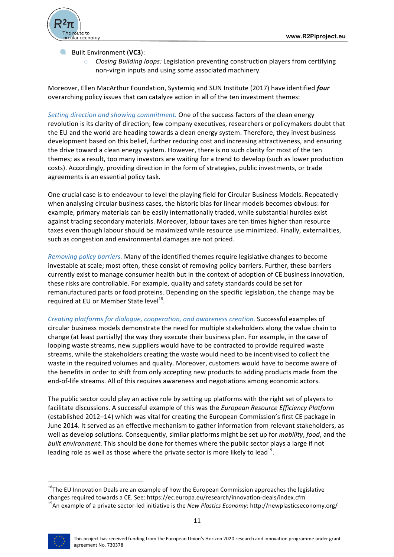

Built Environment (VC3):

 $\circ$  *Closing Building loops:* Legislation preventing construction players from certifying non-virgin inputs and using some associated machinery.

Moreover, Ellen MacArthur Foundation, Systemiq and SUN Institute (2017) have identified *four* overarching policy issues that can catalyze action in all of the ten investment themes:

*Setting direction and showing commitment.* One of the success factors of the clean energy revolution is its clarity of direction; few company executives, researchers or policymakers doubt that the EU and the world are heading towards a clean energy system. Therefore, they invest business development based on this belief, further reducing cost and increasing attractiveness, and ensuring the drive toward a clean energy system. However, there is no such clarity for most of the ten themes; as a result, too many investors are waiting for a trend to develop (such as lower production costs). Accordingly, providing direction in the form of strategies, public investments, or trade agreements is an essential policy task.

One crucial case is to endeavour to level the playing field for Circular Business Models. Repeatedly when analysing circular business cases, the historic bias for linear models becomes obvious: for example, primary materials can be easily internationally traded, while substantial hurdles exist against trading secondary materials. Moreover, labour taxes are ten times higher than resource taxes even though labour should be maximized while resource use minimized. Finally, externalities, such as congestion and environmental damages are not priced.

*Removing policy barriers.* Many of the identified themes require legislative changes to become investable at scale; most often, these consist of removing policy barriers. Further, these barriers currently exist to manage consumer health but in the context of adoption of CE business innovation, these risks are controllable. For example, quality and safety standards could be set for remanufactured parts or food proteins. Depending on the specific legislation, the change may be required at EU or Member State level<sup>18</sup>.

*Creating platforms for dialogue, cooperation, and awareness creation.* Successful examples of circular business models demonstrate the need for multiple stakeholders along the value chain to change (at least partially) the way they execute their business plan. For example, in the case of looping waste streams, new suppliers would have to be contracted to provide required waste streams, while the stakeholders creating the waste would need to be incentivised to collect the waste in the required volumes and quality. Moreover, customers would have to become aware of the benefits in order to shift from only accepting new products to adding products made from the end-of-life streams. All of this requires awareness and negotiations among economic actors.

The public sector could play an active role by setting up platforms with the right set of players to facilitate discussions. A successful example of this was the *European Resource Efficiency Platform* (established 2012–14) which was vital for creating the European Commission's first CE package in June 2014. It served as an effective mechanism to gather information from relevant stakeholders, as well as develop solutions. Consequently, similar platforms might be set up for *mobility, food*, and the *built environment*. This should be done for themes where the public sector plays a large if not leading role as well as those where the private sector is more likely to lead<sup>19</sup>.

 $18$ The EU Innovation Deals are an example of how the European Commission approaches the legislative changes required towards a CE. See: https://ec.europa.eu/research/innovation-deals/index.cfm<br><sup>19</sup>An example of a private sector-led initiative is the *New Plastics Economy*: http://newplasticseconomy.org/

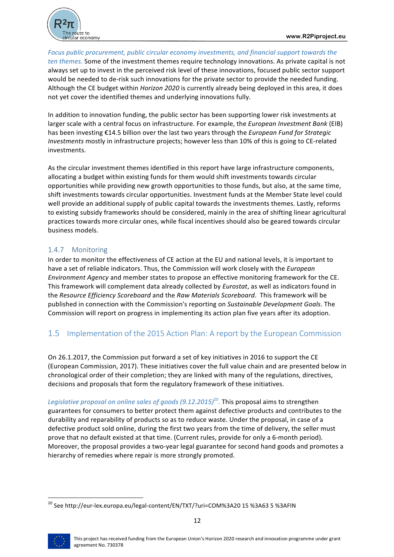

Focus public procurement, public circular economy investments, and financial support towards the *ten themes.* Some of the investment themes require technology innovations. As private capital is not always set up to invest in the perceived risk level of these innovations, focused public sector support would be needed to de-risk such innovations for the private sector to provide the needed funding. Although the CE budget within *Horizon 2020* is currently already being deployed in this area, it does not yet cover the identified themes and underlying innovations fully.

In addition to innovation funding, the public sector has been supporting lower risk investments at larger scale with a central focus on infrastructure. For example, the *European Investment Bank* (EIB) has been investing €14.5 billion over the last two years through the *European Fund for Strategic Investments* mostly in infrastructure projects; however less than 10% of this is going to CE-related investments. 

As the circular investment themes identified in this report have large infrastructure components, allocating a budget within existing funds for them would shift investments towards circular opportunities while providing new growth opportunities to those funds, but also, at the same time, shift investments towards circular opportunities. Investment funds at the Member State level could well provide an additional supply of public capital towards the investments themes. Lastly, reforms to existing subsidy frameworks should be considered, mainly in the area of shifting linear agricultural practices towards more circular ones, while fiscal incentives should also be geared towards circular business models.

#### 1.4.7 Monitoring

In order to monitor the effectiveness of CE action at the EU and national levels, it is important to have a set of reliable indicators. Thus, the Commission will work closely with the *European Environment Agency* and member states to propose an effective monitoring framework for the CE. This framework will complement data already collected by *Eurostat*, as well as indicators found in the *Resource Efficiency Scoreboard* and the *Raw Materials Scoreboard*. This framework will be published in connection with the Commission's reporting on *Sustainable Development Goals*. The Commission will report on progress in implementing its action plan five years after its adoption.

## 1.5 Implementation of the 2015 Action Plan: A report by the European Commission

On 26.1.2017, the Commission put forward a set of key initiatives in 2016 to support the CE (European Commission, 2017). These initiatives cover the full value chain and are presented below in chronological order of their completion; they are linked with many of the regulations, directives, decisions and proposals that form the regulatory framework of these initiatives.

*Legislative proposal on online sales of goods (9.12.2015)*<sup>20</sup>. This proposal aims to strengthen guarantees for consumers to better protect them against defective products and contributes to the durability and reparability of products so as to reduce waste. Under the proposal, in case of a defective product sold online, during the first two years from the time of delivery, the seller must prove that no default existed at that time. (Current rules, provide for only a 6-month period). Moreover, the proposal provides a two-year legal guarantee for second hand goods and promotes a hierarchy of remedies where repair is more strongly promoted.



 $^{20}$  See http://eur-lex.europa.eu/legal-content/EN/TXT/?uri=COM%3A20 15 %3A63 5 %3AFIN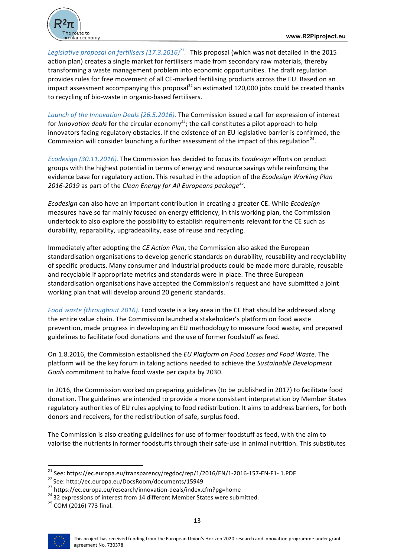



*Legislative proposal on fertilisers*  $(17.3.2016)^{21}$ . This proposal (which was not detailed in the 2015 action plan) creates a single market for fertilisers made from secondary raw materials, thereby transforming a waste management problem into economic opportunities. The draft regulation provides rules for free movement of all CE-marked fertilising products across the EU. Based on an impact assessment accompanying this proposal<sup>22</sup> an estimated 120,000 jobs could be created thanks to recycling of bio-waste in organic-based fertilisers.

Launch of the Innovation Deals (26.5.2016). The Commission issued a call for expression of interest for *Innovation deals* for the circular economy<sup>23</sup>; the call constitutes a pilot approach to help innovators facing regulatory obstacles. If the existence of an EU legislative barrier is confirmed, the Commission will consider launching a further assessment of the impact of this regulation<sup>24</sup>.

*Ecodesign* (30.11.2016). The Commission has decided to focus its *Ecodesign* efforts on product groups with the highest potential in terms of energy and resource savings while reinforcing the evidence base for regulatory action. This resulted in the adoption of the *Ecodesign Working Plan 2016-2019* as part of the *Clean Energy for All Europeans package*<sup>25</sup>.

*Ecodesign* can also have an important contribution in creating a greater CE. While *Ecodesign* measures have so far mainly focused on energy efficiency, in this working plan, the Commission undertook to also explore the possibility to establish requirements relevant for the CE such as durability, reparability, upgradeability, ease of reuse and recycling.

Immediately after adopting the *CE Action Plan*, the Commission also asked the European standardisation organisations to develop generic standards on durability, reusability and recyclability of specific products. Many consumer and industrial products could be made more durable, reusable and recyclable if appropriate metrics and standards were in place. The three European standardisation organisations have accepted the Commission's request and have submitted a joint working plan that will develop around 20 generic standards.

*Food waste (throughout 2016).* Food waste is a key area in the CE that should be addressed along the entire value chain. The Commission launched a stakeholder's platform on food waste prevention, made progress in developing an EU methodology to measure food waste, and prepared guidelines to facilitate food donations and the use of former foodstuff as feed.

On 1.8.2016, the Commission established the *EU Platform on Food Losses and Food Waste*. The platform will be the key forum in taking actions needed to achieve the *Sustainable Development* Goals commitment to halve food waste per capita by 2030.

In 2016, the Commission worked on preparing guidelines (to be published in 2017) to facilitate food donation. The guidelines are intended to provide a more consistent interpretation by Member States regulatory authorities of EU rules applying to food redistribution. It aims to address barriers, for both donors and receivers, for the redistribution of safe, surplus food.

The Commission is also creating guidelines for use of former foodstuff as feed, with the aim to valorise the nutrients in former foodstuffs through their safe-use in animal nutrition. This substitutes



<sup>&</sup>lt;sup>21</sup> See: https://ec.europa.eu/transparency/regdoc/rep/1/2016/EN/1-2016-157-EN-F1- 1.PDF<br><sup>22</sup> See: http://ec.europa.eu/DocsRoom/documents/15949<br><sup>23</sup> https://ec.europa.eu/research/innovation-deals/index.cfm?pg=home<br><sup>24</sup> 32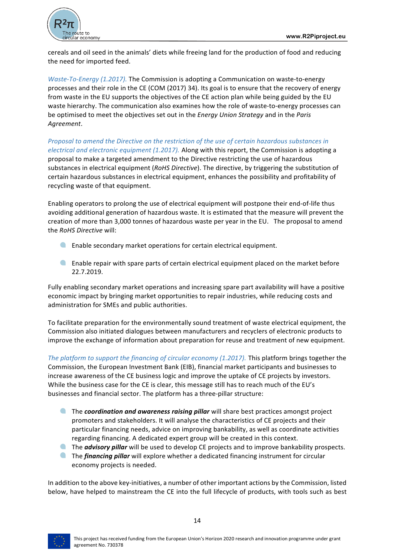

cereals and oil seed in the animals' diets while freeing land for the production of food and reducing the need for imported feed.

*Waste-To-Energy* (1.2017). The Commission is adopting a Communication on waste-to-energy processes and their role in the CE (COM (2017) 34). Its goal is to ensure that the recovery of energy from waste in the EU supports the objectives of the CE action plan while being guided by the EU waste hierarchy. The communication also examines how the role of waste-to-energy processes can be optimised to meet the objectives set out in the *Energy Union Strategy* and in the *Paris Agreement*.

*Proposal to amend the Directive on the restriction of the use of certain hazardous substances in electrical and electronic equipment (1.2017).* Along with this report, the Commission is adopting a proposal to make a targeted amendment to the Directive restricting the use of hazardous substances in electrical equipment (*RoHS Directive*). The directive, by triggering the substitution of certain hazardous substances in electrical equipment, enhances the possibility and profitability of recycling waste of that equipment.

Enabling operators to prolong the use of electrical equipment will postpone their end-of-life thus avoiding additional generation of hazardous waste. It is estimated that the measure will prevent the creation of more than 3,000 tonnes of hazardous waste per year in the EU. The proposal to amend the *RoHS Directive* will: 

- **Enable secondary market operations for certain electrical equipment.**
- **A** Enable repair with spare parts of certain electrical equipment placed on the market before 22.7.2019.

Fully enabling secondary market operations and increasing spare part availability will have a positive economic impact by bringing market opportunities to repair industries, while reducing costs and administration for SMEs and public authorities.

To facilitate preparation for the environmentally sound treatment of waste electrical equipment, the Commission also initiated dialogues between manufacturers and recyclers of electronic products to improve the exchange of information about preparation for reuse and treatment of new equipment.

The platform to support the financing of circular economy (1.2017). This platform brings together the Commission, the European Investment Bank (EIB), financial market participants and businesses to increase awareness of the CE business logic and improve the uptake of CE projects by investors. While the business case for the CE is clear, this message still has to reach much of the EU's businesses and financial sector. The platform has a three-pillar structure:

- The **coordination and awareness raising pillar** will share best practices amongst project promoters and stakeholders. It will analyse the characteristics of CE projects and their particular financing needs, advice on improving bankability, as well as coordinate activities regarding financing. A dedicated expert group will be created in this context.
- **The** *advisory pillar* will be used to develop CE projects and to improve bankability prospects. **The financing pillar** will explore whether a dedicated financing instrument for circular
- economy projects is needed.

In addition to the above key-initiatives, a number of other important actions by the Commission, listed below, have helped to mainstream the CE into the full lifecycle of products, with tools such as best

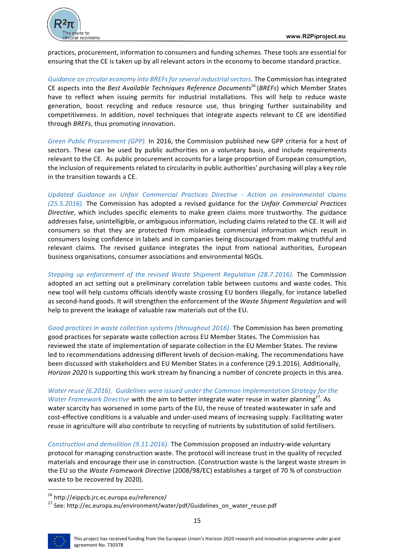

practices, procurement, information to consumers and funding schemes. These tools are essential for ensuring that the CE is taken up by all relevant actors in the economy to become standard practice.

Guidance on circular economy into BREFs for several industrial sectors. The Commission has integrated CE aspects into the *Best Available Techniques Reference Documents*<sup>26</sup> (*BREFs*) which Member States have to reflect when issuing permits for industrial installations. This will help to reduce waste generation, boost recycling and reduce resource use, thus bringing further sustainability and competitiveness. In addition, novel techniques that integrate aspects relevant to CE are identified through *BREFs*, thus promoting innovation.

*Green Public Procurement (GPP).* In 2016, the Commission published new GPP criteria for a host of sectors. These can be used by public authorities on a voluntary basis, and include requirements relevant to the CE. As public procurement accounts for a large proportion of European consumption, the inclusion of requirements related to circularity in public authorities' purchasing will play a key role in the transition towards a CE.

*Updated Guidance on Unfair Commercial Practices Directive - Action on environmental claims (25.5.2016).* The Commission has adopted a revised guidance for the Unfair Commercial Practices *Directive*, which includes specific elements to make green claims more trustworthy. The guidance addresses false, unintelligible, or ambiguous information, including claims related to the CE. It will aid consumers so that they are protected from misleading commercial information which result in consumers losing confidence in labels and in companies being discouraged from making truthful and relevant claims. The revised guidance integrates the input from national authorities, European business organisations, consumer associations and environmental NGOs.

*Stepping up enforcement of the revised Waste Shipment Regulation (28.7.2016).* The Commission adopted an act setting out a preliminary correlation table between customs and waste codes. This new tool will help customs officials identify waste crossing EU borders illegally, for instance labelled as second-hand goods. It will strengthen the enforcement of the Waste Shipment Regulation and will help to prevent the leakage of valuable raw materials out of the EU.

Good practices in waste collection systems (throughout 2016). The Commission has been promoting good practices for separate waste collection across EU Member States. The Commission has reviewed the state of implementation of separate collection in the EU Member States. The review led to recommendations addressing different levels of decision-making. The recommendations have been discussed with stakeholders and EU Member States in a conference (29.1.2016). Additionally, *Horizon 2020* is supporting this work stream by financing a number of concrete projects in this area.

*Water reuse* (6.2016). Guidelines were issued under the Common Implementation Strategy for the *Water Framework Directive* with the aim to better integrate water reuse in water planning<sup>27</sup>. As water scarcity has worsened in some parts of the EU, the reuse of treated wastewater in safe and cost-effective conditions is a valuable and under-used means of increasing supply. Facilitating water reuse in agriculture will also contribute to recycling of nutrients by substitution of solid fertilisers.

*Construction and demolition (9.11.2016).* The Commission proposed an industry-wide voluntary protocol for managing construction waste. The protocol will increase trust in the quality of recycled materials and encourage their use in construction. (Construction waste is the largest waste stream in the EU so the *Waste Framework Directive* (2008/98/EC) establishes a target of 70 % of construction waste to be recovered by 2020).



<sup>&</sup>lt;sup>26</sup> http://eippcb.jrc.ec.europa.eu/reference/<br><sup>27</sup> See: http://ec.europa.eu/environment/water/pdf/Guidelines\_on\_water\_reuse.pdf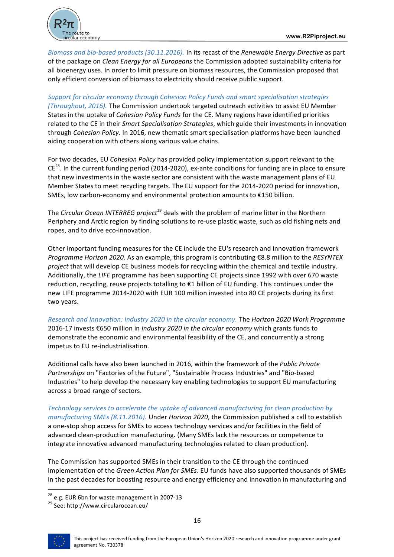

*Biomass and bio-based products (30.11.2016).* In its recast of the *Renewable Energy Directive* as part of the package on *Clean Energy for all Europeans* the Commission adopted sustainability criteria for all bioenergy uses. In order to limit pressure on biomass resources, the Commission proposed that only efficient conversion of biomass to electricity should receive public support.

#### Support for circular economy through Cohesion Policy Funds and smart specialisation strategies

*(Throughout, 2016).* The Commission undertook targeted outreach activities to assist EU Member States in the uptake of *Cohesion Policy Funds* for the CE. Many regions have identified priorities related to the CE in their *Smart Specialisation Strategies*, which guide their investments in innovation through *Cohesion Policy*. In 2016, new thematic smart specialisation platforms have been launched aiding cooperation with others along various value chains.

For two decades, EU Cohesion Policy has provided policy implementation support relevant to the  $CE^{28}$ . In the current funding period (2014-2020), ex-ante conditions for funding are in place to ensure that new investments in the waste sector are consistent with the waste management plans of EU Member States to meet recycling targets. The EU support for the 2014-2020 period for innovation, SMEs, low carbon-economy and environmental protection amounts to €150 billion.

The *Circular Ocean INTERREG project*<sup>29</sup> deals with the problem of marine litter in the Northern Periphery and Arctic region by finding solutions to re-use plastic waste, such as old fishing nets and ropes, and to drive eco-innovation.

Other important funding measures for the CE include the EU's research and innovation framework *Programme Horizon 2020*. As an example, this program is contributing €8.8 million to the *RESYNTEX* project that will develop CE business models for recycling within the chemical and textile industry. Additionally, the *LIFE* programme has been supporting CE projects since 1992 with over 670 waste reduction, recycling, reuse projects totalling to  $\epsilon$ 1 billion of EU funding. This continues under the new LIFE programme 2014-2020 with EUR 100 million invested into 80 CE projects during its first two years.

*Research and Innovation: Industry 2020 in the circular economy.* The *Horizon 2020 Work Programme* 2016-17 invests €650 million in *Industry 2020 in the circular economy* which grants funds to demonstrate the economic and environmental feasibility of the CE, and concurrently a strong impetus to EU re-industrialisation.

Additional calls have also been launched in 2016, within the framework of the *Public Private* Partnerships on "Factories of the Future", "Sustainable Process Industries" and "Bio-based Industries" to help develop the necessary key enabling technologies to support EU manufacturing across a broad range of sectors.

Technology services to accelerate the uptake of advanced manufacturing for clean production by *manufacturing SMEs (8.11.2016).* Under *Horizon 2020*, the Commission published a call to establish a one-stop shop access for SMEs to access technology services and/or facilities in the field of advanced clean-production manufacturing. (Many SMEs lack the resources or competence to integrate innovative advanced manufacturing technologies related to clean production).

The Commission has supported SMEs in their transition to the CE through the continued implementation of the *Green Action Plan for SMEs*. EU funds have also supported thousands of SMEs in the past decades for boosting resource and energy efficiency and innovation in manufacturing and



<sup>&</sup>lt;sup>28</sup> e.g. EUR 6bn for waste management in 2007-13<br><sup>29</sup> See: http://www.circularocean.eu/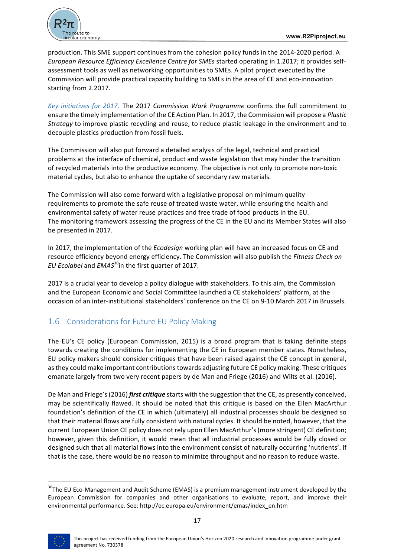

production. This SME support continues from the cohesion policy funds in the 2014-2020 period. A *European Resource Efficiency Excellence Centre for SMEs started operating in 1.2017; it provides self*assessment tools as well as networking opportunities to SMEs. A pilot project executed by the Commission will provide practical capacity building to SMEs in the area of CE and eco-innovation starting from 2.2017.

*Key initiatives for 2017.* The 2017 *Commission Work Programme* confirms the full commitment to ensure the timely implementation of the CE Action Plan. In 2017, the Commission will propose a *Plastic Strategy* to improve plastic recycling and reuse, to reduce plastic leakage in the environment and to decouple plastics production from fossil fuels.

The Commission will also put forward a detailed analysis of the legal, technical and practical problems at the interface of chemical, product and waste legislation that may hinder the transition of recycled materials into the productive economy. The objective is not only to promote non-toxic material cycles, but also to enhance the uptake of secondary raw materials.

The Commission will also come forward with a legislative proposal on minimum quality requirements to promote the safe reuse of treated waste water, while ensuring the health and environmental safety of water reuse practices and free trade of food products in the EU. The monitoring framework assessing the progress of the CE in the EU and its Member States will also be presented in 2017.

In 2017, the implementation of the *Ecodesign* working plan will have an increased focus on CE and resource efficiency beyond energy efficiency. The Commission will also publish the *Fitness Check on EU Ecolabel* and *EMAS*<sup>30</sup>in the first quarter of 2017.

2017 is a crucial year to develop a policy dialogue with stakeholders. To this aim, the Commission and the European Economic and Social Committee launched a CE stakeholders' platform, at the occasion of an inter-institutional stakeholders' conference on the CE on 9-10 March 2017 in Brussels.

## 1.6 Considerations for Future EU Policy Making

The EU's CE policy (European Commission, 2015) is a broad program that is taking definite steps towards creating the conditions for implementing the CE in European member states. Nonetheless, EU policy makers should consider critiques that have been raised against the CE concept in general, as they could make important contributions towards adjusting future CE policy making. These critiques emanate largely from two very recent papers by de Man and Friege (2016) and Wilts et al. (2016).

De Man and Friege's (2016) *first critique* starts with the suggestion that the CE, as presently conceived, may be scientifically flawed. It should be noted that this critique is based on the Ellen MacArthur foundation's definition of the CE in which (ultimately) all industrial processes should be designed so that their material flows are fully consistent with natural cycles. It should be noted, however, that the current European Union CE policy does not rely upon Ellen MacArthur's (more stringent) CE definition; however, given this definition, it would mean that all industrial processes would be fully closed or designed such that all material flows into the environment consist of naturally occurring 'nutrients'. If that is the case, there would be no reason to minimize throughput and no reason to reduce waste.

 $30$ The EU Eco-Management and Audit Scheme (EMAS) is a premium management instrument developed by the European Commission for companies and other organisations to evaluate, report, and improve their environmental performance. See: http://ec.europa.eu/environment/emas/index\_en.htm

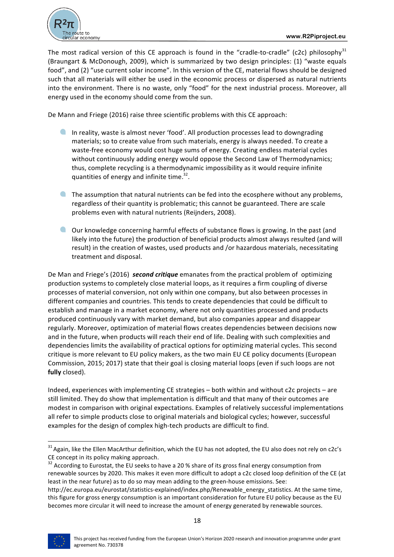

The most radical version of this CE approach is found in the "cradle-to-cradle" (c2c) philosophy<sup>31</sup> (Braungart & McDonough, 2009), which is summarized by two design principles: (1) "waste equals food", and (2) "use current solar income". In this version of the CE, material flows should be designed such that all materials will either be used in the economic process or dispersed as natural nutrients into the environment. There is no waste, only "food" for the next industrial process. Moreover, all energy used in the economy should come from the sun.

De Mann and Friege (2016) raise three scientific problems with this CE approach:

- In reality, waste is almost never 'food'. All production processes lead to downgrading materials; so to create value from such materials, energy is always needed. To create a waste-free economy would cost huge sums of energy. Creating endless material cycles without continuously adding energy would oppose the Second Law of Thermodynamics; thus, complete recycling is a thermodynamic impossibility as it would require infinite quantities of energy and infinite time.<sup>32</sup>.
- $\blacksquare$  The assumption that natural nutrients can be fed into the ecosphere without any problems, regardless of their quantity is problematic; this cannot be guaranteed. There are scale problems even with natural nutrients (Reijnders, 2008).
- $\Box$  Our knowledge concerning harmful effects of substance flows is growing. In the past (and likely into the future) the production of beneficial products almost always resulted (and will result) in the creation of wastes, used products and /or hazardous materials, necessitating treatment and disposal.

De Man and Friege's (2016) **second critique** emanates from the practical problem of optimizing production systems to completely close material loops, as it requires a firm coupling of diverse processes of material conversion, not only within one company, but also between processes in different companies and countries. This tends to create dependencies that could be difficult to establish and manage in a market economy, where not only quantities processed and products produced continuously vary with market demand, but also companies appear and disappear regularly. Moreover, optimization of material flows creates dependencies between decisions now and in the future, when products will reach their end of life. Dealing with such complexities and dependencies limits the availability of practical options for optimizing material cycles. This second critique is more relevant to EU policy makers, as the two main EU CE policy documents (European Commission, 2015; 2017) state that their goal is closing material loops (even if such loops are not **fully** closed).

Indeed, experiences with implementing CE strategies – both within and without c2c projects – are still limited. They do show that implementation is difficult and that many of their outcomes are modest in comparison with original expectations. Examples of relatively successful implementations all refer to simple products close to original materials and biological cycles; however, successful examples for the design of complex high-tech products are difficult to find.

http://ec.europa.eu/eurostat/statistics-explained/index.php/Renewable\_energy\_statistics. At the same time, this figure for gross energy consumption is an important consideration for future EU policy because as the EU becomes more circular it will need to increase the amount of energy generated by renewable sources.



 $31$  Again, like the Ellen MacArthur definition, which the EU has not adopted, the EU also does not rely on c2c's CE concept in its policy making approach.

 $32$  According to Eurostat, the EU seeks to have a 20 % share of its gross final energy consumption from renewable sources by 2020. This makes it even more difficult to adopt a c2c closed loop definition of the CE (at least in the near future) as to do so may mean adding to the green-house emissions. See: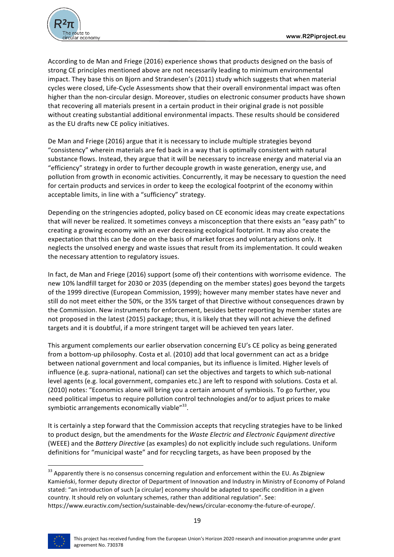

According to de Man and Friege (2016) experience shows that products designed on the basis of strong CE principles mentioned above are not necessarily leading to minimum environmental impact. They base this on Bjorn and Strandesen's (2011) study which suggests that when material cycles were closed, Life-Cycle Assessments show that their overall environmental impact was often higher than the non-circular design. Moreover, studies on electronic consumer products have shown that recovering all materials present in a certain product in their original grade is not possible without creating substantial additional environmental impacts. These results should be considered as the EU drafts new CE policy initiatives.

De Man and Friege (2016) argue that it is necessary to include multiple strategies beyond "consistency" wherein materials are fed back in a way that is optimally consistent with natural substance flows. Instead, they argue that it will be necessary to increase energy and material via an "efficiency" strategy in order to further decouple growth in waste generation, energy use, and pollution from growth in economic activities. Concurrently, it may be necessary to question the need for certain products and services in order to keep the ecological footprint of the economy within acceptable limits, in line with a "sufficiency" strategy.

Depending on the stringencies adopted, policy based on CE economic ideas may create expectations that will never be realized. It sometimes conveys a misconception that there exists an "easy path" to creating a growing economy with an ever decreasing ecological footprint. It may also create the expectation that this can be done on the basis of market forces and voluntary actions only. It neglects the unsolved energy and waste issues that result from its implementation. It could weaken the necessary attention to regulatory issues.

In fact, de Man and Friege (2016) support (some of) their contentions with worrisome evidence. The new 10% landfill target for 2030 or 2035 (depending on the member states) goes beyond the targets of the 1999 directive (European Commission, 1999); however many member states have never and still do not meet either the 50%, or the 35% target of that Directive without consequences drawn by the Commission. New instruments for enforcement, besides better reporting by member states are not proposed in the latest (2015) package; thus, it is likely that they will not achieve the defined targets and it is doubtful, if a more stringent target will be achieved ten years later.

This argument complements our earlier observation concerning EU's CE policy as being generated from a bottom-up philosophy. Costa et al. (2010) add that local government can act as a bridge between national government and local companies, but its influence is limited. Higher levels of influence (e.g. supra-national, national) can set the objectives and targets to which sub-national level agents (e.g. local government, companies etc.) are left to respond with solutions. Costa et al. (2010) notes: "Economics alone will bring you a certain amount of symbiosis. To go further, you need political impetus to require pollution control technologies and/or to adjust prices to make symbiotic arrangements economically viable $^{\prime\prime 33}$ .

It is certainly a step forward that the Commission accepts that recycling strategies have to be linked to product design, but the amendments for the *Waste Electric and Electronic Equipment directive* (WEEE) and the *Battery Directive* (as examples) do not explicitly include such regulations. Uniform definitions for "municipal waste" and for recycling targets, as have been proposed by the

<sup>&</sup>lt;sup>33</sup> Apparently there is no consensus concerning regulation and enforcement within the EU. As Zbigniew Kamieński, former deputy director of Department of Innovation and Industry in Ministry of Economy of Poland stated: "an introduction of such [a circular] economy should be adapted to specific condition in a given country. It should rely on voluntary schemes, rather than additional regulation". See: https://www.euractiv.com/section/sustainable-dev/news/circular-economy-the-future-of-europe/.

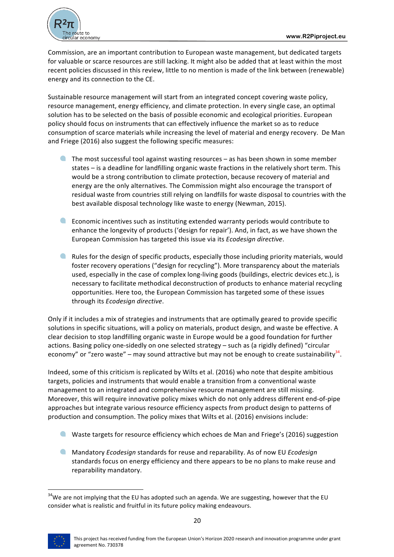

Commission, are an important contribution to European waste management, but dedicated targets for valuable or scarce resources are still lacking. It might also be added that at least within the most recent policies discussed in this review, little to no mention is made of the link between (renewable) energy and its connection to the CE.

Sustainable resource management will start from an integrated concept covering waste policy, resource management, energy efficiency, and climate protection. In every single case, an optimal solution has to be selected on the basis of possible economic and ecological priorities. European policy should focus on instruments that can effectively influence the market so as to reduce consumption of scarce materials while increasing the level of material and energy recovery. De Man and Friege (2016) also suggest the following specific measures:

- **The most successful tool against wasting resources** as has been shown in some member states – is a deadline for landfilling organic waste fractions in the relatively short term. This would be a strong contribution to climate protection, because recovery of material and energy are the only alternatives. The Commission might also encourage the transport of residual waste from countries still relying on landfills for waste disposal to countries with the best available disposal technology like waste to energy (Newman, 2015).
- $\bullet$ Economic incentives such as instituting extended warranty periods would contribute to enhance the longevity of products ('design for repair'). And, in fact, as we have shown the European Commission has targeted this issue via its *Ecodesign directive*.
- **A** Rules for the design of specific products, especially those including priority materials, would foster recovery operations ("design for recycling"). More transparency about the materials used, especially in the case of complex long-living goods (buildings, electric devices etc.), is necessary to facilitate methodical deconstruction of products to enhance material recycling opportunities. Here too, the European Commission has targeted some of these issues through its *Ecodesign directive*.

Only if it includes a mix of strategies and instruments that are optimally geared to provide specific solutions in specific situations, will a policy on materials, product design, and waste be effective. A clear decision to stop landfilling organic waste in Europe would be a good foundation for further actions. Basing policy one-sidedly on one selected strategy – such as (a rigidly defined) "circular economy" or "zero waste" – may sound attractive but may not be enough to create sustainability<sup>34</sup>.

Indeed, some of this criticism is replicated by Wilts et al. (2016) who note that despite ambitious targets, policies and instruments that would enable a transition from a conventional waste management to an integrated and comprehensive resource management are still missing. Moreover, this will require innovative policy mixes which do not only address different end-of-pipe approaches but integrate various resource efficiency aspects from product design to patterns of production and consumption. The policy mixes that Wilts et al. (2016) envisions include:

- $\blacksquare$  Waste targets for resource efficiency which echoes de Man and Friege's (2016) suggestion
- **Mandatory** *Ecodesign* standards for reuse and reparability. As of now EU *Ecodesign* standards focus on energy efficiency and there appears to be no plans to make reuse and reparability mandatory.

 $34$ We are not implying that the EU has adopted such an agenda. We are suggesting, however that the EU consider what is realistic and fruitful in its future policy making endeavours.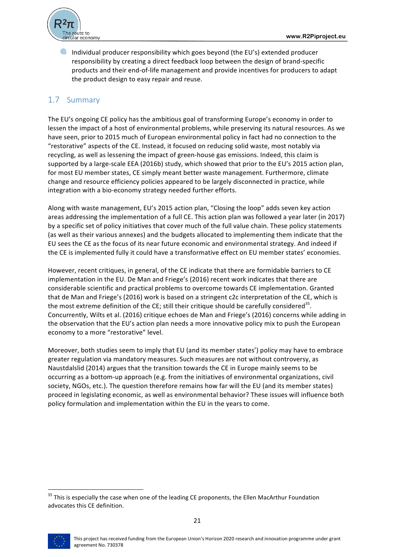

Individual producer responsibility which goes beyond (the EU's) extended producer responsibility by creating a direct feedback loop between the design of brand-specific products and their end-of-life management and provide incentives for producers to adapt the product design to easy repair and reuse.

## 1.7 Summary

The EU's ongoing CE policy has the ambitious goal of transforming Europe's economy in order to lessen the impact of a host of environmental problems, while preserving its natural resources. As we have seen, prior to 2015 much of European environmental policy in fact had no connection to the "restorative" aspects of the CE. Instead, it focused on reducing solid waste, most notably via recycling, as well as lessening the impact of green-house gas emissions. Indeed, this claim is supported by a large-scale EEA (2016b) study, which showed that prior to the EU's 2015 action plan, for most EU member states, CE simply meant better waste management. Furthermore, climate change and resource efficiency policies appeared to be largely disconnected in practice, while integration with a bio-economy strategy needed further efforts.

Along with waste management, EU's 2015 action plan, "Closing the loop" adds seven key action areas addressing the implementation of a full CE. This action plan was followed a year later (in 2017) by a specific set of policy initiatives that cover much of the full value chain. These policy statements (as well as their various annexes) and the budgets allocated to implementing them indicate that the EU sees the CE as the focus of its near future economic and environmental strategy. And indeed if the CE is implemented fully it could have a transformative effect on EU member states' economies.

However, recent critiques, in general, of the CE indicate that there are formidable barriers to CE implementation in the EU. De Man and Friege's (2016) recent work indicates that there are considerable scientific and practical problems to overcome towards CE implementation. Granted that de Man and Friege's (2016) work is based on a stringent c2c interpretation of the CE, which is the most extreme definition of the CE; still their critique should be carefully considered<sup>35</sup>. Concurrently, Wilts et al. (2016) critique echoes de Man and Friege's (2016) concerns while adding in the observation that the EU's action plan needs a more innovative policy mix to push the European economy to a more "restorative" level.

Moreover, both studies seem to imply that EU (and its member states') policy may have to embrace greater regulation via mandatory measures. Such measures are not without controversy, as Naustdalslid (2014) argues that the transition towards the CE in Europe mainly seems to be occurring as a bottom-up approach (e.g. from the initiatives of environmental organizations, civil society, NGOs, etc.). The question therefore remains how far will the EU (and its member states) proceed in legislating economic, as well as environmental behavior? These issues will influence both policy formulation and implementation within the EU in the years to come.



 $35$  This is especially the case when one of the leading CE proponents, the Ellen MacArthur Foundation advocates this CE definition.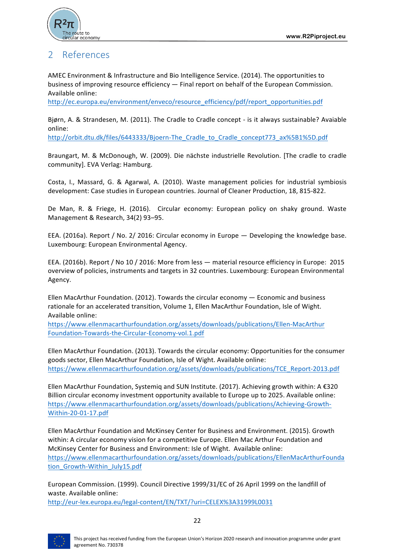

## 2 References

AMEC Environment & Infrastructure and Bio Intelligence Service. (2014). The opportunities to business of improving resource efficiency  $-$  Final report on behalf of the European Commission. Available online:

http://ec.europa.eu/environment/enveco/resource\_efficiency/pdf/report\_opportunities.pdf

Bjørn, A. & Strandesen, M. (2011). The Cradle to Cradle concept - is it always sustainable? Avaiable online:

http://orbit.dtu.dk/files/6443333/Bjoern-The\_Cradle\_to\_Cradle\_concept773\_ax%5B1%5D.pdf

Braungart, M. & McDonough, W. (2009). Die nächste industrielle Revolution. [The cradle to cradle community]. EVA Verlag: Hamburg.

Costa, I., Massard, G. & Agarwal, A. (2010). Waste management policies for industrial symbiosis development: Case studies in European countries. Journal of Cleaner Production, 18, 815-822.

De Man, R. & Friege, H. (2016). Circular economy: European policy on shaky ground. Waste Management & Research, 34(2) 93-95.

EEA. (2016a). Report / No. 2/ 2016: Circular economy in Europe  $-$  Developing the knowledge base. Luxembourg: European Environmental Agency.

EEA. (2016b). Report / No 10 / 2016: More from less — material resource efficiency in Europe: 2015 overview of policies, instruments and targets in 32 countries. Luxembourg: European Environmental Agency.

Ellen MacArthur Foundation. (2012). Towards the circular economy  $-$  Economic and business rationale for an accelerated transition, Volume 1, Ellen MacArthur Foundation, Isle of Wight. Available online:

https://www.ellenmacarthurfoundation.org/assets/downloads/publications/Ellen-MacArthur Foundation-Towards-the-Circular-Economy-vol.1.pdf

Ellen MacArthur Foundation. (2013). Towards the circular economy: Opportunities for the consumer goods sector, Ellen MacArthur Foundation, Isle of Wight. Available online: https://www.ellenmacarthurfoundation.org/assets/downloads/publications/TCE\_Report-2013.pdf

Ellen MacArthur Foundation, Systemiq and SUN Institute. (2017). Achieving growth within:  $A \in 320$ Billion circular economy investment opportunity available to Europe up to 2025. Available online: https://www.ellenmacarthurfoundation.org/assets/downloads/publications/Achieving-Growth-Within-20-01-17.pdf

Ellen MacArthur Foundation and McKinsey Center for Business and Environment. (2015). Growth within: A circular economy vision for a competitive Europe. Ellen Mac Arthur Foundation and McKinsey Center for Business and Environment: Isle of Wight. Available online: https://www.ellenmacarthurfoundation.org/assets/downloads/publications/EllenMacArthurFounda tion\_Growth-Within\_July15.pdf

European Commission. (1999). Council Directive 1999/31/EC of 26 April 1999 on the landfill of waste. Available online:

http://eur-lex.europa.eu/legal-content/EN/TXT/?uri=CELEX%3A31999L0031

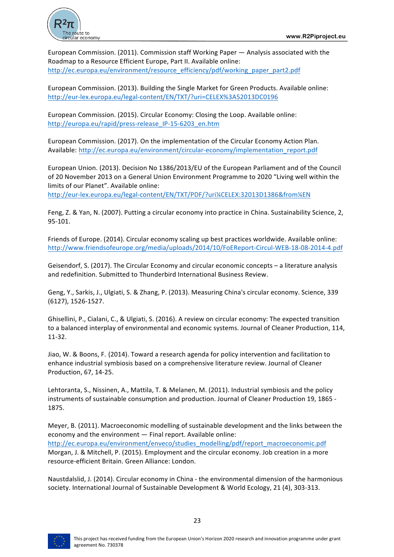

European Commission. (2011). Commission staff Working Paper — Analysis associated with the Roadmap to a Resource Efficient Europe, Part II. Available online: http://ec.europa.eu/environment/resource\_efficiency/pdf/working\_paper\_part2.pdf

European Commission. (2013). Building the Single Market for Green Products. Available online: http://eur-lex.europa.eu/legal-content/EN/TXT/?uri=CELEX%3A52013DC0196

European Commission. (2015). Circular Economy: Closing the Loop. Available online: http://europa.eu/rapid/press-release\_IP-15-6203\_en.htm

European Commission. (2017). On the implementation of the Circular Economy Action Plan. Available: http://ec.europa.eu/environment/circular-economy/implementation\_report.pdf

European Union. (2013). Decision No 1386/2013/EU of the European Parliament and of the Council of 20 November 2013 on a General Union Environment Programme to 2020 "Living well within the limits of our Planet". Available online:

http://eur-lex.europa.eu/legal-content/EN/TXT/PDF/?uri¼CELEX:32013D1386&from¼EN

Feng, Z. & Yan, N. (2007). Putting a circular economy into practice in China. Sustainability Science, 2, 95-101.

Friends of Europe. (2014). Circular economy scaling up best practices worldwide. Available online: http://www.friendsofeurope.org/media/uploads/2014/10/FoEReport-Circul-WEB-18-08-2014-4.pdf

Geisendorf, S. (2017). The Circular Economy and circular economic concepts - a literature analysis and redefinition. Submitted to Thunderbird International Business Review.

Geng, Y., Sarkis, J., Ulgiati, S. & Zhang, P. (2013). Measuring China's circular economy. Science, 339 (6127), 1526-1527.

Ghisellini, P., Cialani, C., & Ulgiati, S. (2016). A review on circular economy: The expected transition to a balanced interplay of environmental and economic systems. Journal of Cleaner Production, 114, 11-32.

Jiao, W. & Boons, F. (2014). Toward a research agenda for policy intervention and facilitation to enhance industrial symbiosis based on a comprehensive literature review. Journal of Cleaner Production, 67, 14-25.

Lehtoranta, S., Nissinen, A., Mattila, T. & Melanen, M. (2011). Industrial symbiosis and the policy instruments of sustainable consumption and production. Journal of Cleaner Production 19, 1865 -1875.

Meyer, B. (2011). Macroeconomic modelling of sustainable development and the links between the economy and the environment  $-$  Final report. Available online: http://ec.europa.eu/environment/enveco/studies\_modelling/pdf/report\_macroeconomic.pdf Morgan, J. & Mitchell, P. (2015). Employment and the circular economy. Job creation in a more resource-efficient Britain. Green Alliance: London.

Naustdalslid, J. (2014). Circular economy in China - the environmental dimension of the harmonious society. International Journal of Sustainable Development & World Ecology, 21 (4), 303-313.